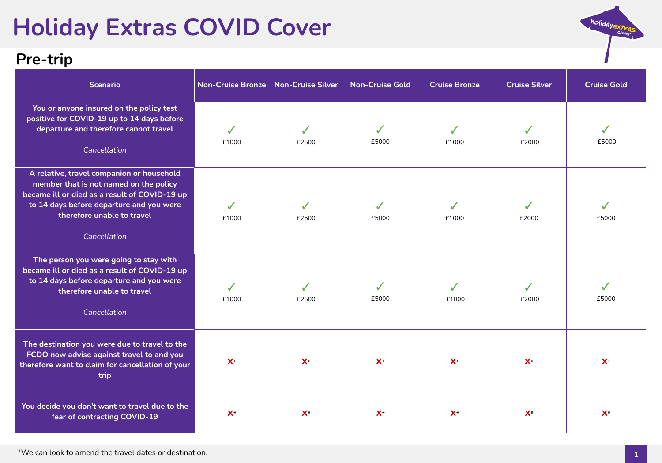# **Holiday Extras COVID Cover**

#### **Pre-trip**

| <b>Scenario</b>                                                                                                                                                                                                                | <b>Non-Cruise Bronze</b> | <b>Non-Cruise Silver</b> | <b>Non-Cruise Gold</b> | <b>Cruise Bronze</b> | <b>Cruise Silver</b> | <b>Cruise Gold</b> |
|--------------------------------------------------------------------------------------------------------------------------------------------------------------------------------------------------------------------------------|--------------------------|--------------------------|------------------------|----------------------|----------------------|--------------------|
| You or anyone insured on the policy test<br>positive for COVID-19 up to 14 days before<br>departure and therefore cannot travel<br>Cancellation                                                                                | £1000                    | £2500                    | £5000                  | £1000                | £2000                | £5000              |
| A relative, travel companion or household<br>member that is not named on the policy<br>became ill or died as a result of COVID-19 up<br>to 14 days before departure and you were<br>therefore unable to travel<br>Cancellation | ✔<br>£1000               | £2500                    | £5000                  | £1000                | £2000                | £5000              |
| The person you were going to stay with<br>became ill or died as a result of COVID-19 up<br>to 14 days before departure and you were<br>therefore unable to travel<br>Cancellation                                              | $\checkmark$<br>£1000    | √<br>£2500               | ✔<br>£5000             | £1000                | £2000                | £5000              |
| The destination you were due to travel to the<br>FCDO now advise against travel to and you<br>therefore want to claim for cancellation of your<br>trip                                                                         | $X^*$                    | $X^*$                    | $X^*$                  | $X^*$                | $X^*$                | $\mathsf{X}^*$     |
| You decide you don't want to travel due to the<br>fear of contracting COVID-19                                                                                                                                                 | $X^*$                    | $X^*$                    | $X^*$                  | $\mathsf{X}^*$       | $\mathsf{X}^*$       | $\mathsf{X}^*$     |

holidayextras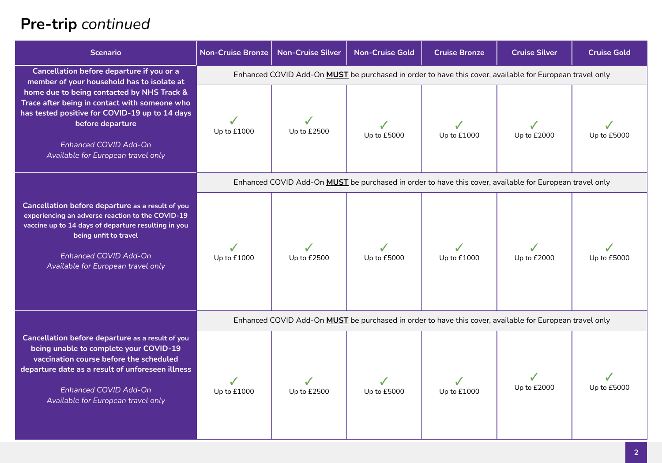# **Pre-trip** *continued*

| <b>Scenario</b>                                                                                                                                                                                                                                                                                                             | <b>Non-Cruise Bronze</b>                                                                                | <b>Non-Cruise Silver</b> | <b>Non-Cruise Gold</b> | <b>Cruise Bronze</b> | <b>Cruise Silver</b> | <b>Cruise Gold</b> |  |
|-----------------------------------------------------------------------------------------------------------------------------------------------------------------------------------------------------------------------------------------------------------------------------------------------------------------------------|---------------------------------------------------------------------------------------------------------|--------------------------|------------------------|----------------------|----------------------|--------------------|--|
| Cancellation before departure if you or a<br>member of your household has to isolate at<br>home due to being contacted by NHS Track &<br>Trace after being in contact with someone who<br>has tested positive for COVID-19 up to 14 days<br>before departure<br>Enhanced COVID Add-On<br>Available for European travel only | Enhanced COVID Add-On MUST be purchased in order to have this cover, available for European travel only |                          |                        |                      |                      |                    |  |
|                                                                                                                                                                                                                                                                                                                             | Up to £1000                                                                                             | Up to £2500              | Up to £5000            | Up to £1000          | Up to £2000          | Up to £5000        |  |
|                                                                                                                                                                                                                                                                                                                             | Enhanced COVID Add-On MUST be purchased in order to have this cover, available for European travel only |                          |                        |                      |                      |                    |  |
| Cancellation before departure as a result of you<br>experiencing an adverse reaction to the COVID-19<br>vaccine up to 14 days of departure resulting in you<br>being unfit to travel<br>Enhanced COVID Add-On<br>Available for European travel only                                                                         | Up to £1000                                                                                             | Up to £2500              | Up to £5000            | Up to £1000          | Up to £2000          | Up to £5000        |  |
|                                                                                                                                                                                                                                                                                                                             | Enhanced COVID Add-On MUST be purchased in order to have this cover, available for European travel only |                          |                        |                      |                      |                    |  |
| Cancellation before departure as a result of you<br>being unable to complete your COVID-19<br>vaccination course before the scheduled<br>departure date as a result of unforeseen illness<br>Enhanced COVID Add-On<br>Available for European travel only                                                                    | Up to £1000                                                                                             | Up to £2500              | Up to £5000            | Up to £1000          | Up to £2000          | Up to £5000        |  |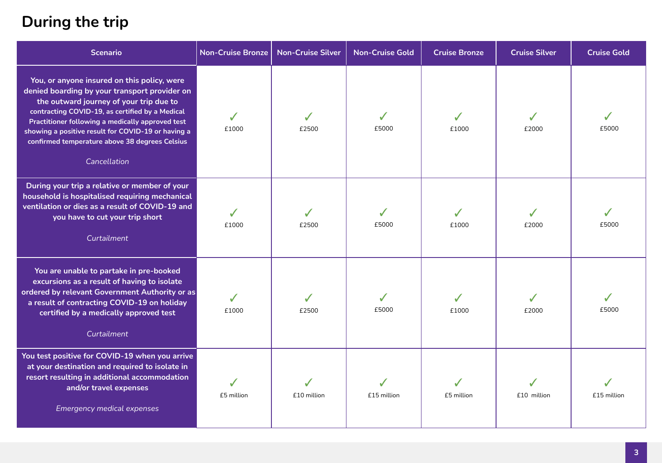## **During the trip**

| <b>Scenario</b>                                                                                                                                                                                                                                                                                                                                                        | <b>Non-Cruise Bronze</b> | <b>Non-Cruise Silver</b> | <b>Non-Cruise Gold</b> | <b>Cruise Bronze</b> | <b>Cruise Silver</b> | <b>Cruise Gold</b> |
|------------------------------------------------------------------------------------------------------------------------------------------------------------------------------------------------------------------------------------------------------------------------------------------------------------------------------------------------------------------------|--------------------------|--------------------------|------------------------|----------------------|----------------------|--------------------|
| You, or anyone insured on this policy, were<br>denied boarding by your transport provider on<br>the outward journey of your trip due to<br>contracting COVID-19, as certified by a Medical<br>Practitioner following a medically approved test<br>showing a positive result for COVID-19 or having a<br>confirmed temperature above 38 degrees Celsius<br>Cancellation | J<br>£1000               | £2500                    | £5000                  | £1000                | £2000                | £5000              |
| During your trip a relative or member of your<br>household is hospitalised requiring mechanical<br>ventilation or dies as a result of COVID-19 and<br>you have to cut your trip short<br>Curtailment                                                                                                                                                                   | £1000                    | £2500                    | £5000                  | ✔<br>£1000           | £2000                | £5000              |
| You are unable to partake in pre-booked<br>excursions as a result of having to isolate<br>ordered by relevant Government Authority or as<br>a result of contracting COVID-19 on holiday<br>certified by a medically approved test<br>Curtailment                                                                                                                       | $\checkmark$<br>£1000    | £2500                    | £5000                  | ✓<br>£1000           | ✔<br>£2000           | £5000              |
| You test positive for COVID-19 when you arrive<br>at your destination and required to isolate in<br>resort resulting in additional accommodation<br>and/or travel expenses<br><b>Emergency medical expenses</b>                                                                                                                                                        | £5 million               | £10 million              | £15 million            | £5 million           | £10 million          | £15 million        |